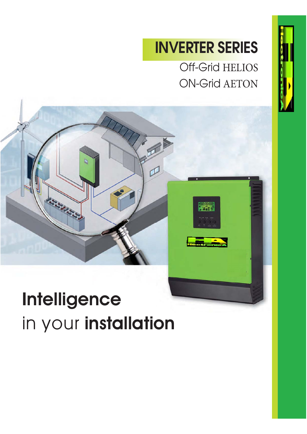## **INVERTER SERIES**

Off-Grid HELIOS ON-Grid AETON



# $\frac{1}{2}$ in your **installation**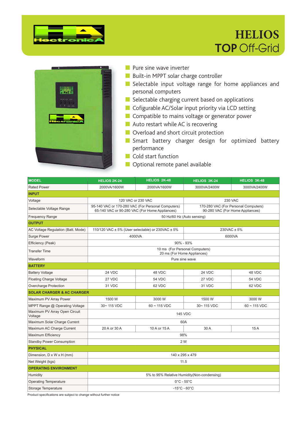

### **HELIOS TOP** Off-Grid



- Pure sine wave inverter
- Built-in MPPT solar charge controller
- Selectable input voltage range for home appliances and personal computers
- Selectable charging current based on applications
- Cofigurable AC/Solar input priority via LCD setting
- Compatible to mains voltage or generator power
- Auto restart while AC is recovering
- Overload and short circuit protection
- Smart battery charger design for optimized battery performance
- Cold start function
- Optional remote panel available

| <b>MODEL</b>                             | <b>HELIOS 2K-24</b>                                       | HELIOS 2K-48                                                                                                                                                                     | <b>HELIOS 3K-24</b>                                           | <b>HELIOS 3K-48</b> |  |  |  |  |
|------------------------------------------|-----------------------------------------------------------|----------------------------------------------------------------------------------------------------------------------------------------------------------------------------------|---------------------------------------------------------------|---------------------|--|--|--|--|
| <b>Rated Power</b>                       | 2000VA/1600W                                              | 2000VA/1600W                                                                                                                                                                     | 3000VA/2400W                                                  | 3000VA/2400W        |  |  |  |  |
| <b>INPUT</b>                             |                                                           |                                                                                                                                                                                  |                                                               |                     |  |  |  |  |
| Voltage                                  | 120 VAC or 230 VAC                                        |                                                                                                                                                                                  |                                                               | <b>230 VAC</b>      |  |  |  |  |
| Selectable Voltage Range                 |                                                           | 95-140 VAC or 170-280 VAC (For Personal Computers)<br>170-280 VAC (For Personal Computers)<br>65-140 VAC or 90-280 VAC (For Home Appliances)<br>90-280 VAC (For Home Appliances) |                                                               |                     |  |  |  |  |
| <b>Frequency Range</b>                   |                                                           |                                                                                                                                                                                  | 50 Hz/60 Hz (Auto sensing)                                    |                     |  |  |  |  |
| <b>OUTPUT</b>                            |                                                           |                                                                                                                                                                                  |                                                               |                     |  |  |  |  |
| AC Voltage Regulation (Batt. Mode)       | 110/120 VAC $\pm$ 5% (User selectable) or 230VAC $\pm$ 5% |                                                                                                                                                                                  |                                                               | $230VAC \pm 5%$     |  |  |  |  |
| Surge Power                              |                                                           | 4000VA                                                                                                                                                                           |                                                               | 6000VA              |  |  |  |  |
| Efficiency (Peak)                        |                                                           |                                                                                                                                                                                  | $90\% - 93\%$                                                 |                     |  |  |  |  |
| <b>Transfer Time</b>                     |                                                           |                                                                                                                                                                                  | 10 ms (For Personal Computers)<br>20 ms (For Home Appliances) |                     |  |  |  |  |
| Waveform                                 |                                                           |                                                                                                                                                                                  | Pure sine wave                                                |                     |  |  |  |  |
| <b>BATTERY</b>                           |                                                           |                                                                                                                                                                                  |                                                               |                     |  |  |  |  |
| <b>Battery Voltage</b>                   | 24 VDC                                                    | 48 VDC                                                                                                                                                                           | 24 VDC                                                        | 48 VDC              |  |  |  |  |
| <b>Floating Charge Voltage</b>           | 27 VDC                                                    | 54 VDC                                                                                                                                                                           | 27 VDC                                                        | 54 VDC              |  |  |  |  |
| Overcharge Protection                    | 31 VDC                                                    | 62 VDC                                                                                                                                                                           | 31 VDC                                                        | 62 VDC              |  |  |  |  |
| <b>SOLAR CHARGER &amp; AC CHARGER</b>    |                                                           |                                                                                                                                                                                  |                                                               |                     |  |  |  |  |
| Maximum PV Array Power                   | 1500 W                                                    | 3000 W                                                                                                                                                                           | 1500 W                                                        | 3000 W              |  |  |  |  |
| MPPT Range @ Operating Voltage           | 30~115 VDC                                                | $60 - 115$ VDC                                                                                                                                                                   | 30~115 VDC                                                    | $60 - 115$ VDC      |  |  |  |  |
| Maximum PV Array Open Circuit<br>Voltage |                                                           |                                                                                                                                                                                  | <b>145 VDC</b>                                                |                     |  |  |  |  |
| Maximum Solar Charge Current             |                                                           |                                                                                                                                                                                  | 60A                                                           |                     |  |  |  |  |
| Maximum AC Charge Current                | 20 A or 30 A                                              | 10 A or 15 A                                                                                                                                                                     | 30 A                                                          | 15A                 |  |  |  |  |
| Maximum Efficiency                       |                                                           |                                                                                                                                                                                  | 98%                                                           |                     |  |  |  |  |
| <b>Standby Power Consumption</b>         |                                                           |                                                                                                                                                                                  | 2 W                                                           |                     |  |  |  |  |
| <b>PHYSICAL</b>                          |                                                           |                                                                                                                                                                                  |                                                               |                     |  |  |  |  |
| Dimension, D x W x H (mm)                | 140 x 295 x 479                                           |                                                                                                                                                                                  |                                                               |                     |  |  |  |  |
| Net Weight (kgs)                         | 11.5                                                      |                                                                                                                                                                                  |                                                               |                     |  |  |  |  |
| <b>OPERATING ENVIRONMENT</b>             |                                                           |                                                                                                                                                                                  |                                                               |                     |  |  |  |  |
| Humidity                                 | 5% to 95% Relative Humidity (Non-condensing)              |                                                                                                                                                                                  |                                                               |                     |  |  |  |  |
| <b>Operating Temperature</b>             | $0^{\circ}$ C - 55 $^{\circ}$ C                           |                                                                                                                                                                                  |                                                               |                     |  |  |  |  |
| Storage Temperature                      | $-15^{\circ}$ C - 60 $^{\circ}$ C                         |                                                                                                                                                                                  |                                                               |                     |  |  |  |  |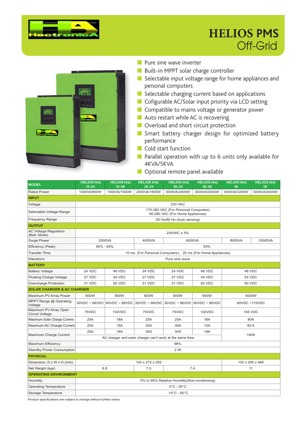

#### **HELIOS PMS** Off-Grid



- **Pure sine wave inverter**
- Built-in MPPT solar charge controller
- Selectable input voltage range for home appliances and personal computers
- Selectable charging current based on applications
- Cofigurable AC/Solar input priority via LCD setting
- Compatible to mains voltage or generator power
- Auto restart while AC is recovering
- Overload and short circuit protection
- Smart battery charger design for optimized battery performance
- Cold start function
- Parallel operation with up to 6 units only available for 4KVA/5KVA
- Optional remote panel available

| <b>MODEL</b>                                    | <b>HELIOS PMS</b><br>$1K-24$                | <b>HELIOS PMS</b><br>$1K-48$                                             | <b>HELIOS PMS</b><br>$2K-24$ | <b>HELIOS PMS</b><br>$3K-24$                                | <b>HELIOS PMS</b><br>3K-48 | <b>HELIOS PMS</b><br>4K | <b>HELIOS PMS</b><br><b>5K</b> |  |
|-------------------------------------------------|---------------------------------------------|--------------------------------------------------------------------------|------------------------------|-------------------------------------------------------------|----------------------------|-------------------------|--------------------------------|--|
| <b>Rated Power</b>                              | 1000VA/800W                                 | 1000VA/1000W                                                             | 2000VA/1600W                 | 3000VA/2400W                                                | 3000VA/2400W               | 4000VA/3200W            | 5000VA/4000W                   |  |
| <b>INPUT</b>                                    |                                             |                                                                          |                              |                                                             |                            |                         |                                |  |
| Voltage                                         |                                             | <b>230 VAC</b>                                                           |                              |                                                             |                            |                         |                                |  |
| Selectable Voltage Range                        |                                             | 170-280 VAC (For Personal Computers)<br>90-280 VAC (For Home Appliances) |                              |                                                             |                            |                         |                                |  |
| <b>Frequency Range</b>                          |                                             | 50 Hz/60 Hz (Auto sensing)                                               |                              |                                                             |                            |                         |                                |  |
| <b>OUTPUT</b>                                   |                                             |                                                                          |                              |                                                             |                            |                         |                                |  |
| <b>AC Voltage Regulation</b><br>(Batt. Mode)    |                                             |                                                                          |                              | 230VAC ± 5%                                                 |                            |                         |                                |  |
| Surge Power                                     |                                             | 2000VA                                                                   | 4000VA                       |                                                             | 6000VA                     | 8000VA                  | 10000VA                        |  |
| Efficiency (Peak)                               |                                             | $90\% - 93\%$                                                            |                              |                                                             | 93%                        |                         |                                |  |
| <b>Transfer Time</b>                            |                                             |                                                                          |                              | 10 ms (For Personal Computers); 20 ms (For Home Appliances) |                            |                         |                                |  |
| Waveform                                        |                                             |                                                                          |                              | Pure sine wave                                              |                            |                         |                                |  |
| <b>BATTERY</b>                                  |                                             |                                                                          |                              |                                                             |                            |                         |                                |  |
| <b>Battery Voltage</b>                          | 24 VDC                                      | 48 VDC                                                                   | 24 VDC                       | 24 VDC                                                      | 48 VDC                     |                         | 48 VDC                         |  |
| <b>Floating Charge Voltage</b>                  | 27 VDC                                      | 54 VDC                                                                   | 27 VDC                       | 27 VDC                                                      | 54 VDC                     | <b>54 VDC</b>           |                                |  |
| Overcharge Protection                           | 31 VDC                                      | 62 VDC                                                                   | 31 VDC                       | 31 VDC                                                      | 62 VDC                     | 60 VDC                  |                                |  |
| <b>SOLAR CHARGER &amp; AC CHARGER</b>           |                                             |                                                                          |                              |                                                             |                            |                         |                                |  |
| Maximum PV Array Power                          | 600W                                        | 900W                                                                     | 600W                         | 600W                                                        | 900W                       |                         | 4000W                          |  |
| MPPT Range @ Operating<br>Voltage               |                                             |                                                                          |                              | 30VDC~66VDC 60VDC~88VDC 30VDC~66VDC 30VDC~66VDC 60VDC~88VDC |                            | 60VDC ~115VDC           |                                |  |
| Maximum PV Array Open<br><b>Circuit Voltage</b> | 75VDC                                       | 102VDC                                                                   | 75VDC                        | 75VDC                                                       | 102VDC                     |                         | <b>145 VDC</b>                 |  |
| Maximum Solar Charge Current                    | 25A                                         | <b>18A</b>                                                               | 25A                          | 25A                                                         | <b>18A</b>                 |                         | 80A                            |  |
| Maximum AC Charge Current                       | 20A                                         | <b>15A</b>                                                               | 30A                          | 30A                                                         | <b>15A</b>                 |                         | 60 A                           |  |
| Maximum Charge Current                          | 25A                                         | 18A                                                                      | 30A                          | 30A                                                         | <b>18A</b>                 | 140A                    |                                |  |
|                                                 |                                             |                                                                          |                              | AC charger and solar charger can't work at the same time.   |                            |                         |                                |  |
| Maximum Efficiency                              |                                             |                                                                          |                              | 98%                                                         |                            |                         |                                |  |
| <b>Standby Power Consumption</b>                |                                             |                                                                          |                              | 2 W                                                         |                            |                         |                                |  |
| <b>PHYSICAL</b>                                 |                                             |                                                                          |                              |                                                             |                            |                         |                                |  |
| Dimension, D x W x H (mm)                       | 120 x 295 x 468<br>100 x 272 x 355          |                                                                          |                              |                                                             |                            |                         |                                |  |
| Net Weight (kgs)                                | 6.8<br>7.0<br>7.4<br>11                     |                                                                          |                              |                                                             |                            |                         |                                |  |
| <b>OPERATING ENVIRONMENT</b>                    |                                             |                                                                          |                              |                                                             |                            |                         |                                |  |
| Humidity                                        | 5% to 95% Relative Humidity(Non-condensing) |                                                                          |                              |                                                             |                            |                         |                                |  |
| <b>Operating Temperature</b>                    | $0^{\circ}$ C - 55 $^{\circ}$ C             |                                                                          |                              |                                                             |                            |                         |                                |  |
| Storage Temperature                             | $-15^{\circ}$ C - 60 $^{\circ}$ C           |                                                                          |                              |                                                             |                            |                         |                                |  |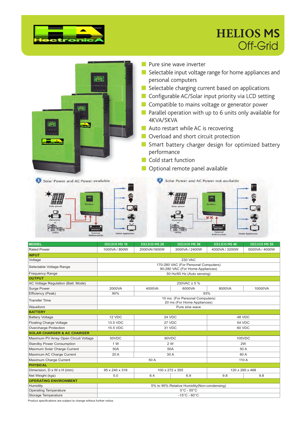

#### **HELIOS MS** Off-Grid



| Waveform                              | Pure sine wave                              |                                    |        |               |       |  |  |  |  |
|---------------------------------------|---------------------------------------------|------------------------------------|--------|---------------|-------|--|--|--|--|
| <b>BATTERY</b>                        |                                             |                                    |        |               |       |  |  |  |  |
| <b>Battery Voltage</b>                | 12 VDC                                      | 24 VDC<br>48 VDC                   |        |               |       |  |  |  |  |
| Floating Charge Voltage               | 13.5 VDC                                    |                                    | 27 VDC | <b>54 VDC</b> |       |  |  |  |  |
| Overcharge Protection                 | 15.5 VDC                                    |                                    | 31 VDC | 60 VDC        |       |  |  |  |  |
| <b>SOLAR CHARGER &amp; AC CHARGER</b> |                                             |                                    |        |               |       |  |  |  |  |
| Maximum PV Array Open Circuit Voltage | 50VDC                                       | 60VDC<br>105VDC                    |        |               |       |  |  |  |  |
| <b>Standby Power Consumption</b>      | 1 W                                         | 2 W                                |        |               | 2W    |  |  |  |  |
| Maxmum Solar Charge Current           | 50A                                         | 50A                                |        | 50 A          |       |  |  |  |  |
| Maximum AC Charge Current             | 20 A<br>30 A                                |                                    | 60 A   |               |       |  |  |  |  |
| Maximum Charge Current                | 50 A                                        |                                    |        |               | 110 A |  |  |  |  |
| <b>PHYSICAL</b>                       |                                             |                                    |        |               |       |  |  |  |  |
| Dimension, D x W x H (mm)             | 95 x 240 x 316                              | 100 x 272 x 355<br>120 x 295 x 468 |        |               |       |  |  |  |  |
| Net Weight (kgs)                      | 5.0                                         | 6.4<br>6.9                         |        | 9.8           | 9.8   |  |  |  |  |
| <b>OPERATING ENVIRONMENT</b>          |                                             |                                    |        |               |       |  |  |  |  |
| Humidity                              | 5% to 95% Relative Humidity(Non-condensing) |                                    |        |               |       |  |  |  |  |
| <b>Operating Temperature</b>          | $0^{\circ}$ C - 55 $^{\circ}$ C             |                                    |        |               |       |  |  |  |  |
| Storage Temperature                   | $-15^{\circ}$ C - 60 $^{\circ}$ C           |                                    |        |               |       |  |  |  |  |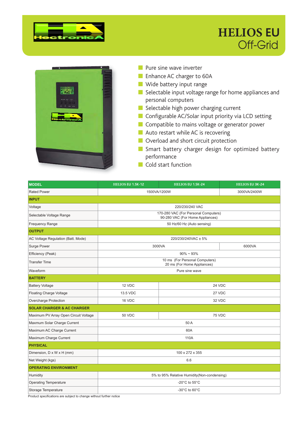

#### **HELIOS EU** Off-Grid



- Pure sine wave inverter
- Enhance AC charger to 60A
- Wide battery input range
- Selectable input voltage range for home appliances and personal computers
- Selectable high power charging current
- Configurable AC/Solar input priority via LCD setting
- Compatible to mains voltage or generator power
- Auto restart while AC is recovering
- Overload and short circuit protection
- Smart battery charger design for optimized battery performance
- Cold start function

| <b>MODEL</b>                          | HELIOS EU 1.5K-12                                                        | HELIOS EU 1.5K-24                                             | <b>HELIOS EU 3K-24</b> |  |  |  |  |  |
|---------------------------------------|--------------------------------------------------------------------------|---------------------------------------------------------------|------------------------|--|--|--|--|--|
| <b>Rated Power</b>                    | 1500VA/1200W                                                             | 3000VA/2400W                                                  |                        |  |  |  |  |  |
| <b>INPUT</b>                          |                                                                          |                                                               |                        |  |  |  |  |  |
| Voltage                               | 220/230/240 VAC                                                          |                                                               |                        |  |  |  |  |  |
| Selectable Voltage Range              | 170-280 VAC (For Personal Computers)<br>90-280 VAC (For Home Appliances) |                                                               |                        |  |  |  |  |  |
| <b>Frequency Range</b>                |                                                                          | 50 Hz/60 Hz (Auto sensing)                                    |                        |  |  |  |  |  |
| <b>OUTPUT</b>                         |                                                                          |                                                               |                        |  |  |  |  |  |
| AC Voltage Regulation (Batt. Mode)    |                                                                          | 220/230/240VAC ± 5%                                           |                        |  |  |  |  |  |
| Surge Power                           |                                                                          | 3000VA                                                        | 6000VA                 |  |  |  |  |  |
| Efficiency (Peak)                     |                                                                          | $90\% \sim 93\%$                                              |                        |  |  |  |  |  |
| <b>Transfer Time</b>                  |                                                                          | 10 ms (For Personal Computers)<br>20 ms (For Home Appliances) |                        |  |  |  |  |  |
| Waveform                              |                                                                          | Pure sine wave                                                |                        |  |  |  |  |  |
| <b>BATTERY</b>                        |                                                                          |                                                               |                        |  |  |  |  |  |
| <b>Battery Voltage</b>                | 12 VDC                                                                   | 24 VDC                                                        |                        |  |  |  |  |  |
| <b>Floating Charge Voltage</b>        | 13.5 VDC<br>27 VDC                                                       |                                                               |                        |  |  |  |  |  |
| Overcharge Protection                 | 16 VDC<br>32 VDC                                                         |                                                               |                        |  |  |  |  |  |
| <b>SOLAR CHARGER &amp; AC CHARGER</b> |                                                                          |                                                               |                        |  |  |  |  |  |
| Maximum PV Array Open Circuit Voltage | <b>50 VDC</b>                                                            | 75 VDC                                                        |                        |  |  |  |  |  |
| Maxmum Solar Charge Current           |                                                                          | 50 A                                                          |                        |  |  |  |  |  |
| Maximum AC Charge Current             |                                                                          | 60A                                                           |                        |  |  |  |  |  |
| Maximum Charge Current                |                                                                          | 110A                                                          |                        |  |  |  |  |  |
| <b>PHYSICAL</b>                       |                                                                          |                                                               |                        |  |  |  |  |  |
| Dimension, D x W x H (mm)             | 100 x 272 x 355                                                          |                                                               |                        |  |  |  |  |  |
| Net Weight (kgs)                      | 6.6                                                                      |                                                               |                        |  |  |  |  |  |
| <b>OPERATING ENVIRONMENT</b>          |                                                                          |                                                               |                        |  |  |  |  |  |
| Humidity                              |                                                                          | 5% to 95% Relative Humidity(Non-condensing)                   |                        |  |  |  |  |  |
| <b>Operating Temperature</b>          | -20 $^{\circ}$ C to 55 $^{\circ}$ C                                      |                                                               |                        |  |  |  |  |  |
| Storage Temperature                   | -30 $^{\circ}$ C to 60 $^{\circ}$ C                                      |                                                               |                        |  |  |  |  |  |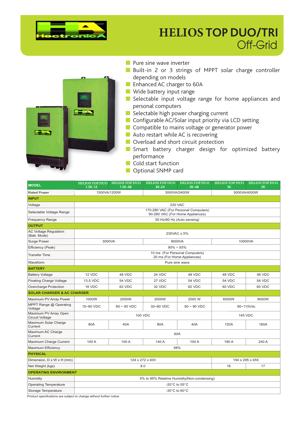

#### **HELIOS TOP DUO/TRI** Off-Grid



| <b>MODEL</b>                                    | <b>HELIOS TOP DUO</b><br>$1.5K-12$                                       | <b>HELIOS TOP DUO</b><br>$1.5K-48$ | <b>HELIOS TOP DUO</b><br>$3K-24$                              | <b>HELIOS TOP DUO</b><br>$3K-48$ | <b>HELIOS TOP DUO</b><br><b>5K</b> | <b>HELIOS TOP DUO</b><br><b>5K</b> |  |
|-------------------------------------------------|--------------------------------------------------------------------------|------------------------------------|---------------------------------------------------------------|----------------------------------|------------------------------------|------------------------------------|--|
| <b>Rated Power</b>                              | 1500VA/1200W<br>5000VA/4000W<br>3000VA/2400W                             |                                    |                                                               |                                  |                                    |                                    |  |
| <b>INPUT</b>                                    |                                                                          |                                    |                                                               |                                  |                                    |                                    |  |
| Voltage                                         | <b>230 VAC</b>                                                           |                                    |                                                               |                                  |                                    |                                    |  |
| Selectable Voltage Range                        | 170-280 VAC (For Personal Computers)<br>90-280 VAC (For Home Appliances) |                                    |                                                               |                                  |                                    |                                    |  |
| <b>Frequency Range</b>                          | 50 Hz/60 Hz (Auto sensing)                                               |                                    |                                                               |                                  |                                    |                                    |  |
| <b>OUTPUT</b>                                   |                                                                          |                                    |                                                               |                                  |                                    |                                    |  |
| <b>AC Voltage Regulation</b><br>(Batt. Mode)    |                                                                          | 230VAC ± 5%                        |                                                               |                                  |                                    |                                    |  |
| <b>Surge Power</b>                              | 3000VA                                                                   |                                    | 6000VA                                                        |                                  | 10000VA                            |                                    |  |
| Efficiency (Peak)                               |                                                                          |                                    | $90\% \sim 93\%$                                              |                                  |                                    |                                    |  |
| <b>Transfer Time</b>                            |                                                                          |                                    | 10 ms (For Personal Computers)<br>20 ms (For Home Appliances) |                                  |                                    |                                    |  |
| Waveform                                        |                                                                          |                                    | Pure sine wave                                                |                                  |                                    |                                    |  |
| <b>BATTERY</b>                                  |                                                                          |                                    |                                                               |                                  |                                    |                                    |  |
| <b>Battery Voltage</b>                          | 12 VDC                                                                   | 48 VDC                             | 24 VDC                                                        | 48 VDC                           | 48 VDC                             | 48 VDC                             |  |
| <b>Floating Charge Voltage</b>                  | 13.5 VDC                                                                 | <b>54 VDC</b>                      | 27 VDC                                                        | <b>54 VDC</b>                    | <b>54 VDC</b>                      | 54 VDC                             |  |
| <b>Overcharge Protection</b>                    | 16 VDC                                                                   | 62 VDC                             | 32 VDC                                                        | 62 VDC                           | 60 VDC                             | 60 VDC                             |  |
| <b>SOLAR CHARGER &amp; AC CHARGER</b>           |                                                                          |                                    |                                                               |                                  |                                    |                                    |  |
| Maximum PV Array Power                          | 1000W                                                                    | 2000W                              | 2000W                                                         | 2000 W                           | 6000W                              | 9000W                              |  |
| MPPT Range @ Operating<br>Voltage               | 15~80 VDC<br>$60 - 90$ VDC<br>30~80 VDC<br>$60 - 90$ VDC<br>60~115Vdc    |                                    |                                                               |                                  |                                    |                                    |  |
| Maximum PV Array Open<br><b>Circuit Voltage</b> |                                                                          | 100 VDC<br><b>145 VDC</b>          |                                                               |                                  |                                    |                                    |  |
| Maximum Solar Charge<br>Current                 | 80A                                                                      | 40A                                | 80A                                                           | 40A                              | 120A                               | 180A                               |  |
| Maximum AC Charge<br>Current                    |                                                                          | 60A                                |                                                               |                                  |                                    |                                    |  |
| Maximum Charge Current                          | 140 A                                                                    | 100 A                              | 140 A                                                         | 100 A                            | 180 A                              | 240 A                              |  |
| Maximum Efficiency                              | 98%                                                                      |                                    |                                                               |                                  |                                    |                                    |  |
| <b>PHYSICAL</b>                                 |                                                                          |                                    |                                                               |                                  |                                    |                                    |  |
| Dimension, D x W x H (mm)                       | 124 x 272 x 400<br>194 x 295 x 455                                       |                                    |                                                               |                                  |                                    |                                    |  |
| Net Weight (kgs)                                | 8.0<br>16<br>17                                                          |                                    |                                                               |                                  |                                    |                                    |  |
| <b>OPERATING ENVIRONMENT</b>                    |                                                                          |                                    |                                                               |                                  |                                    |                                    |  |
| Humidity                                        |                                                                          |                                    | 5% to 95% Relative Humidity (Non-condensing)                  |                                  |                                    |                                    |  |
| <b>Operating Temperature</b>                    | -20 $^{\circ}$ C to 55 $^{\circ}$ C                                      |                                    |                                                               |                                  |                                    |                                    |  |
| Storage Temperature                             | $-30^{\circ}$ C to 60 $^{\circ}$ C                                       |                                    |                                                               |                                  |                                    |                                    |  |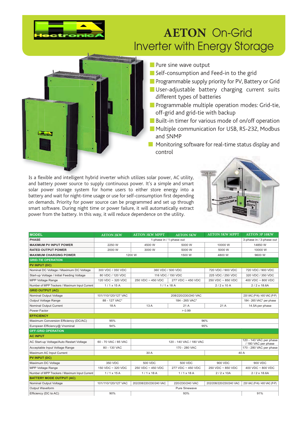

#### **AETON On-Grid Inverter with Energy Storage**



Pure sine wave output

- Self-consumption and Feed-in to the grid
- Programmable supply priority for PV, Battery or Grid
- User-adjustable battery charging current suits different types of batteries
- Programmable multiple operation modes: Grid-tie, off-grid and grid-tie with backup
- Built-in timer for various mode of on/off operation
- Multiple communication for USB, RS-232, Modbus and SNMP
- Monitoring software for real-time status display and control

Is a flexible and intelligent hybrid inverter which utilizes solar power, AC utility, and battery power source to supply continuous power. It's a simple and smart solar power storage system for home users to either store energy into a battery and wait for night-time usage or use for self-consumption first depending on demands. Priority for power source can be programmed and set up through smart software. During night time or power failure, it will automatically extract power from the battery. In this way, it will reduce dependence on the utility.



| <b>MODEL</b>                                   | <b>AETON 2KW</b>     | <b>AETON 3KW MPPT</b>    | <b>AETON 5KW</b>        | <b>AETON 5KW MPPT</b>   | <b>AETON 3P 10KW</b>                           |  |  |
|------------------------------------------------|----------------------|--------------------------|-------------------------|-------------------------|------------------------------------------------|--|--|
| <b>PHASE</b>                                   |                      | 1-phase in / 1-phase out |                         |                         | 3-phase in / 3-phase out                       |  |  |
| <b>MAXIMUM PV INPUT POWER</b>                  | 2250 W               | 4500 W                   | 5000 W                  | 10000 W                 | 14850W                                         |  |  |
| <b>RATED OUTPUT POWER</b>                      | 2000 W               | 3000 W                   | 5000 W                  | 5000 W                  | 10000 W                                        |  |  |
| <b>MAXIMUM CHARGING POWER</b>                  |                      | 1200 W                   | 1500 W                  | 4800 W                  | 9600 W                                         |  |  |
| <b>GRID-TIE OPERATION</b>                      |                      |                          |                         |                         |                                                |  |  |
| <b>PV INPUT (DC)</b>                           |                      |                          |                         |                         |                                                |  |  |
| Nominal DC Voltage / Maximum DC Voltage        | 300 VDC / 350 VDC    | 360 VDC / 500 VDC        |                         | 720 VDC / 900 VDC       | 720 VDC / 900 VDC                              |  |  |
| Start-up Voltage / Initial Feeding Voltage     | 80 VDC / 120 VDC     | 116 VDC / 150 VDC        |                         | 225 VDC / 250 VDC       | 320 VDC / 350 VDC                              |  |  |
| <b>MPP Voltage Range</b>                       | 120 VDC ~ 320 VDC    | 250 VDC ~ 450 VDC        | 277 VDC ~ 450 VDC       | 250 VDC ~ 850 VDC       | 400 VDC $\sim$ 800 VDC                         |  |  |
| Number of MPP Trackers / Maximum Input Current | $1/1 \times 15$ A    | $1/1 \times 18$ A        |                         | $2/2 \times 10$ A       | $2/2 \times 18.6$ A                            |  |  |
| <b>GRID OUTPUT (AC)</b>                        |                      |                          |                         |                         |                                                |  |  |
| Nominal Output Voltage                         | 101/110/120/127 VAC  |                          | 208/220/230/240 VAC     |                         | 230 VAC (P-N) / 400 VAC (P-P)                  |  |  |
| Output Voltage Range                           | 88 - 127 VAC*        |                          | 184 - 265 VAC*          |                         | 184 - 265 VAC* per phase                       |  |  |
| Nominal Output Current                         | 18 A                 | 13A                      | 21A                     | 21A                     | 14.5A per phase                                |  |  |
| Power Factor                                   |                      | > 0.99                   |                         |                         |                                                |  |  |
| <b>EFFICIENCY</b>                              |                      |                          |                         |                         |                                                |  |  |
| Maximum Conversion Efficiency (DC/AC)          | 95%                  | 96%                      |                         |                         |                                                |  |  |
| European Efficiency@ Vnominal                  | 94%                  | 95%                      |                         |                         |                                                |  |  |
| <b>OFF-GRID OPERATION</b>                      |                      |                          |                         |                         |                                                |  |  |
| <b>AC INPUT</b>                                |                      |                          |                         |                         |                                                |  |  |
| AC Start-up Voltage/Auto Restart Voltage       | 60 - 70 VAC / 85 VAC |                          | 120 - 140 VAC / 180 VAC |                         | 120 - 140 VAC per phase<br>/ 180 VAC per phase |  |  |
| Acceptable Input Voltage Range                 | 80 - 130 VAC         |                          | 170 - 280 VAC           |                         | 170 - 280 VAC per phase                        |  |  |
| Maximum AC Input Current                       |                      | 30 A                     |                         |                         | 40 A                                           |  |  |
| <b>PV INPUT (DC)</b>                           |                      |                          |                         |                         |                                                |  |  |
| Maximum DC Voltage                             | 350 VDC              | 500 VDC                  | 500 VDC                 | 900 VDC                 | 900 VDC                                        |  |  |
| <b>MPP Voltage Range</b>                       | 150 VDC ~ 320 VDC    | 250 VDC ~ 450 VDC        | 277 VDC ~ 450 VDC       | 250 VDC ~ 850 VDC       | 400 VDC $\sim$ 800 VDC                         |  |  |
| Number of MPP Trackers / Maximum Input Current | $1/1 \times 15A$     | $1/1 \times 18$ A        | $1/1 \times 18$ A       | $2/2 \times 10A$        | $2/2 \times 18.6$ A                            |  |  |
| <b>BATTERY MODE OUTPUT (AC)</b>                |                      |                          |                         |                         |                                                |  |  |
| Nominal Output Voltage                         | 101/110/120/127 VAC  | 202/208/220/230/240 VAC  | 220/230/240 VAC         | 202/208/220/230/240 VAC | 230 VAC (P-N) / 400 VAC (P-P)                  |  |  |
| Output Waveform                                |                      | Pure Sinewave            |                         |                         |                                                |  |  |
| Efficiency (DC to AC)                          | 90%                  | 93%                      |                         |                         | 91%                                            |  |  |